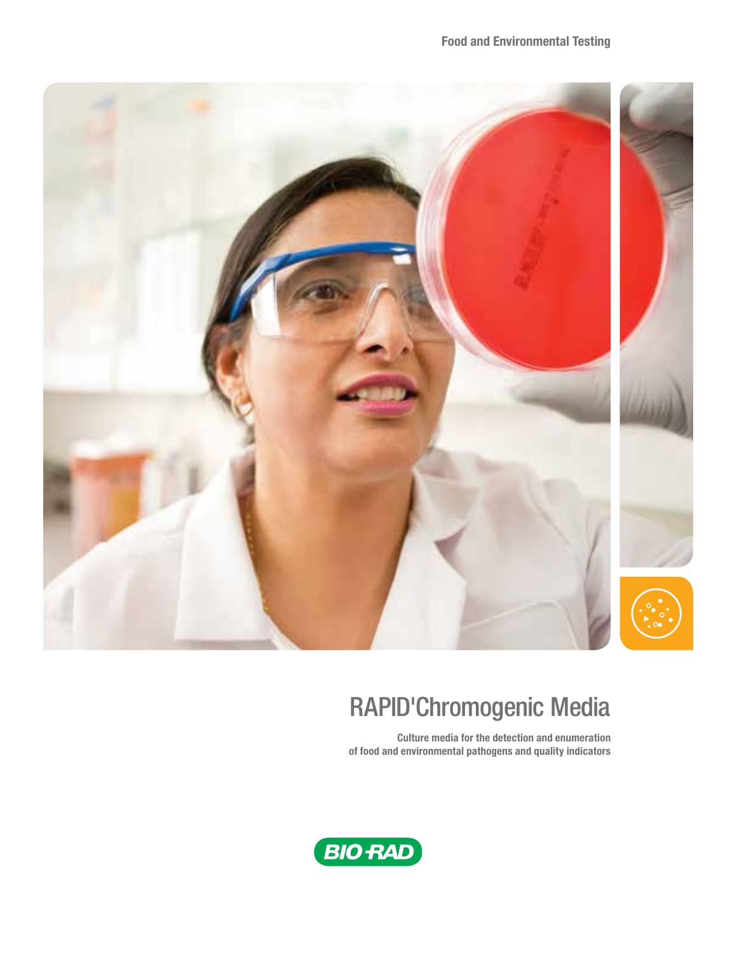

# RAPID'Chromogenic Media

Culture media for the detection and enumeration of food and environmental pathogens and quality indicators

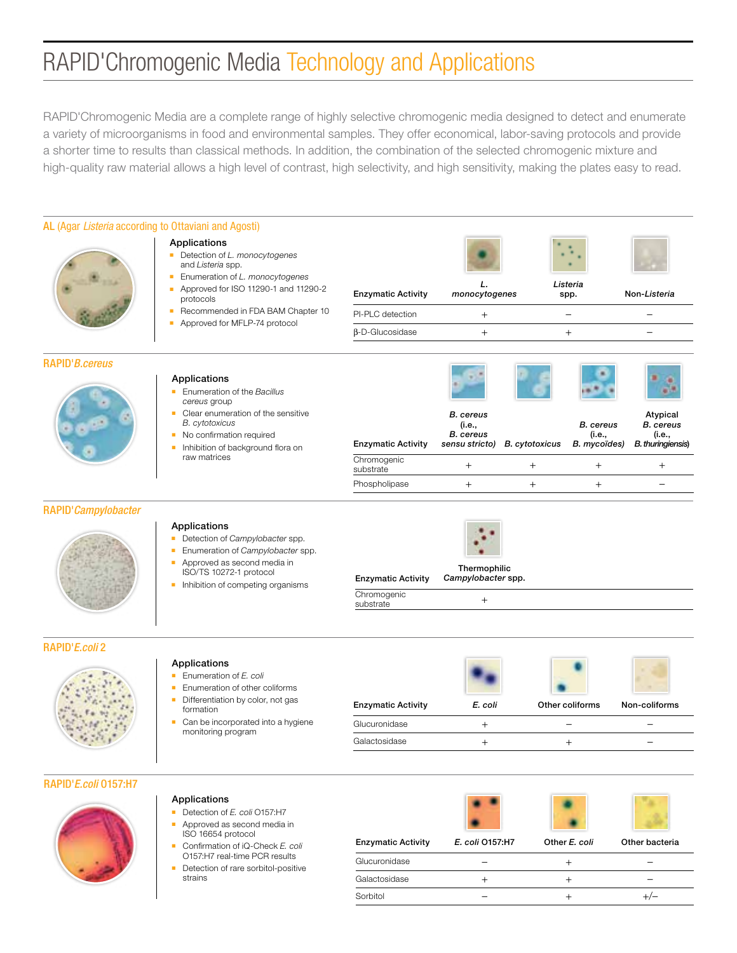# RAPID'Chromogenic Media Technology and Applications

RAPID'Chromogenic Media are a complete range of highly selective chromogenic media designed to detect and enumerate a variety of microorganisms in food and environmental samples. They offer economical, labor-saving protocols and provide a shorter time to results than classical methods. In addition, the combination of the selected chromogenic mixture and high-quality raw material allows a high level of contrast, high selectivity, and high sensitivity, making the plates easy to read.

| AL (Agar Listeria according to Ottaviani and Agosti) |                                                                                                                                                                            |                                |                                                                                 |        |                                            |                                                                    |
|------------------------------------------------------|----------------------------------------------------------------------------------------------------------------------------------------------------------------------------|--------------------------------|---------------------------------------------------------------------------------|--------|--------------------------------------------|--------------------------------------------------------------------|
|                                                      | Applications<br>Detection of L. monocytogenes<br>and Listeria spp.<br>Enumeration of L. monocytogenes                                                                      |                                |                                                                                 |        |                                            |                                                                    |
|                                                      | Approved for ISO 11290-1 and 11290-2<br>protocols                                                                                                                          | <b>Enzymatic Activity</b>      | monocytogenes                                                                   |        | Listeria<br>spp.                           | Non-Listeria                                                       |
|                                                      | Recommended in FDA BAM Chapter 10<br>Approved for MFLP-74 protocol                                                                                                         | PI-PLC detection               | $^{+}$                                                                          |        | $\overline{\phantom{0}}$                   |                                                                    |
|                                                      |                                                                                                                                                                            | $\beta$ -D-Glucosidase         | $\begin{array}{c} + \end{array}$                                                |        | $^{+}$                                     |                                                                    |
| RAPID'B.cereus                                       |                                                                                                                                                                            |                                |                                                                                 |        |                                            |                                                                    |
|                                                      | Applications<br>Enumeration of the Bacillus<br>cereus group                                                                                                                |                                |                                                                                 |        |                                            |                                                                    |
|                                                      | • Clear enumeration of the sensitive<br><b>B.</b> cytotoxicus<br>• No confirmation required                                                                                | <b>Enzymatic Activity</b>      | <b>B.</b> cereus<br>(i.e.,<br><b>B.</b> cereus<br>sensu stricto) B. cytotoxicus |        | <b>B.</b> cereus<br>(i.e.,<br>B. mycoïdes) | Atypical<br><b>B.</b> cereus<br>(i.e.,<br><b>B.</b> thuringiensis) |
|                                                      | Inhibition of background flora on<br>٠<br>raw matrices                                                                                                                     | Chromogenic<br>substrate       | $^{+}$                                                                          | $^{+}$ | $^{+}$                                     | $^{+}$                                                             |
|                                                      |                                                                                                                                                                            | Phospholipase                  | $^{+}$                                                                          | $^{+}$ | $^{+}$                                     |                                                                    |
| RAPID'Campylobacter                                  |                                                                                                                                                                            |                                |                                                                                 |        |                                            |                                                                    |
|                                                      | Applications<br>Detection of Campylobacter spp.<br>٠<br>Enumeration of Campylobacter spp.<br>٠<br>Approved as second media in<br>$\blacksquare$<br>ISO/TS 10272-1 protocol | <b>Enzymatic Activity</b>      | Thermophilic<br>Campylobacter spp.                                              |        |                                            |                                                                    |
|                                                      | Inhibition of competing organisms                                                                                                                                          | Chromogenic<br>substrate       | $^{+}$                                                                          |        |                                            |                                                                    |
| <b>RAPID'E.coli 2</b>                                |                                                                                                                                                                            |                                |                                                                                 |        |                                            |                                                                    |
|                                                      | Applications<br>Enumeration of E. coli<br>×.<br>Enumeration of other coliforms<br>٠<br>Differentiation by color, not gas<br>٠                                              |                                |                                                                                 |        |                                            |                                                                    |
|                                                      | formation<br>Can be incorporated into a hygiene<br>٠                                                                                                                       | <b>Enzymatic Activity</b>      | E. coli                                                                         |        | Other coliforms                            | Non-coliforms                                                      |
|                                                      | monitoring program                                                                                                                                                         | Glucuronidase<br>Galactosidase | $\begin{array}{c} + \end{array}$<br>$^{+}$                                      |        | $^{+}$                                     | -                                                                  |
|                                                      |                                                                                                                                                                            |                                |                                                                                 |        |                                            |                                                                    |
| RAPID'E.coli 0157:H7                                 |                                                                                                                                                                            |                                |                                                                                 |        |                                            |                                                                    |
|                                                      | Applications<br>Detection of E. coli O157:H7<br>٠<br>Approved as second media in                                                                                           |                                |                                                                                 |        |                                            |                                                                    |
|                                                      | ISO 16654 protocol<br>Confirmation of iQ-Check E. coli                                                                                                                     | <b>Enzymatic Activity</b>      | E. coli 0157:H7                                                                 |        | Other E. coli                              | Other bacteria                                                     |
|                                                      | O157:H7 real-time PCR results<br>Detection of rare sorbitol-positive                                                                                                       | Glucuronidase                  | $\overbrace{\phantom{12322111}}$                                                |        | $^{+}$                                     | $\overline{\phantom{0}}$                                           |

Galactosidase + + + – – Sorbitol –  $+$  +/–

strains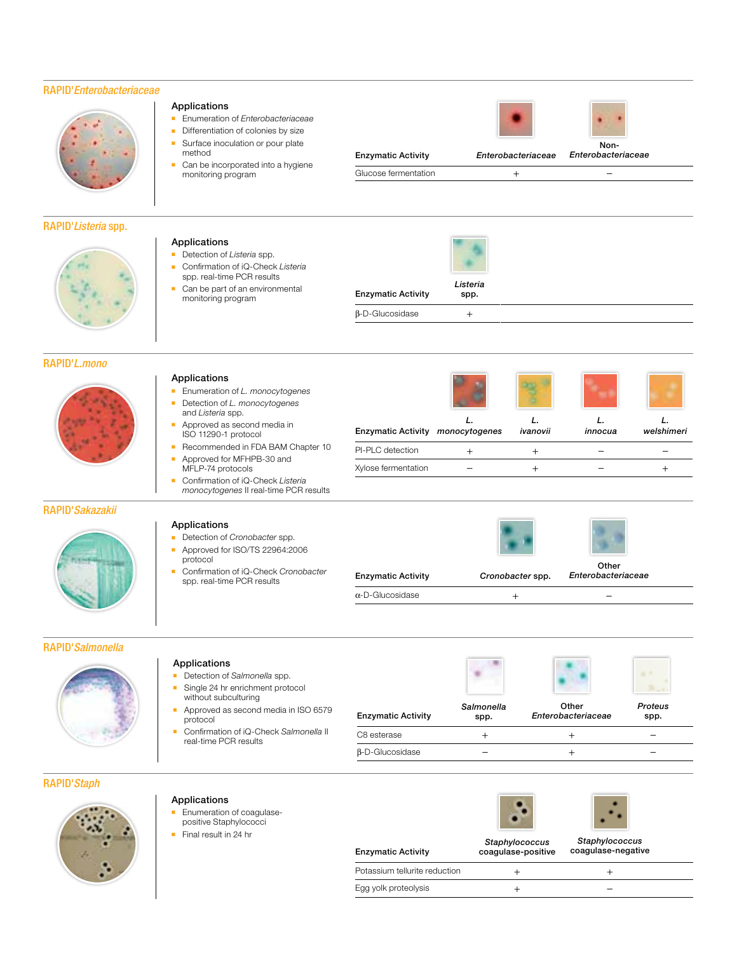# RAPID'*Enterobacteriaceae*

Applications

method

Applications

■ Enumeration of *Enterobacteriaceae* ■ Differentiation of colonies by size ■ Surface inoculation or pour plate

■ Can be incorporated into a hygiene

Lan be part of an environmental **Enzymatic Activity**<br>monitoring program

monitoring program

■ Detection of *Listeria* spp. ■ Confirmation of iQ-Check *Listeria*  spp. real-time PCR results ■ Can be part of an environmental

# RAPID'*Listeria* spp.

| RAPID' <i>L.mono</i>    |                                                                                                                                                              |                           |               |                  |                    |            |
|-------------------------|--------------------------------------------------------------------------------------------------------------------------------------------------------------|---------------------------|---------------|------------------|--------------------|------------|
|                         | Applications<br>Enumeration of L. monocytogenes<br>Detection of L. monocytogenes<br>and Listeria spp.<br>Approved as second media in<br>ISO 11290-1 protocol | <b>Enzymatic Activity</b> | monocytogenes | ivanovii         | innocua            | welshimeri |
|                         | Recommended in FDA BAM Chapter 10<br>٠                                                                                                                       | PI-PLC detection          | $^{+}$        | $^{+}$           |                    |            |
|                         | Approved for MFHPB-30 and<br>MFLP-74 protocols                                                                                                               | Xylose fermentation       |               | $^{+}$           |                    |            |
|                         | Confirmation of iQ-Check Listeria<br>×<br>monocytogenes II real-time PCR results                                                                             |                           |               |                  |                    |            |
| RAPID' <i>Sakazakii</i> |                                                                                                                                                              |                           |               |                  |                    |            |
|                         | Applications<br>Detection of Cronobacter spp.<br>Approved for ISO/TS 22964:2006<br>protocol                                                                  |                           |               |                  | Other              |            |
|                         | Confirmation of iQ-Check Cronobacter<br>spp. real-time PCR results                                                                                           | <b>Enzymatic Activity</b> |               | Cronobacter spp. | Enterobacteriaceae |            |

### RAPID'*Salmonella*

#### Applications

- Detection of *Salmonella* spp.
- Single 24 hr enrichment protocol
- without subculturing ■ Approved as second media in ISO 6579
- protocol ■ Confirmation of iQ-Check *Salmonella* II real-time PCR results

| <b>Enzymatic Activity</b> | Salmonella<br>spp. | Other<br>Enterobacteriaceae | Proteus<br>spp. |
|---------------------------|--------------------|-----------------------------|-----------------|
| C8 esterase               |                    |                             |                 |
| $\beta$ -D-Glucosidase    |                    |                             |                 |

α-D-Glucosidase + –

## RAPID'*Staph*

|  | Applications |
|--|--------------|
|--|--------------|

- Enumeration of coagulasepositive Staphylococci
- Final result in 24 hr

| <b>Enzymatic Activity</b>     | Staphylococcus<br>coagulase-positive | Staphylococcus<br>coagulase-negative |  |
|-------------------------------|--------------------------------------|--------------------------------------|--|
| Potassium tellurite reduction |                                      |                                      |  |
| Egg yolk proteolysis          |                                      |                                      |  |





Enzymatic Activity *Enterobacteriaceae*

*Listeria* spp.

β-D-Glucosidase +

*Enterobacteriaceae*

Glucose fermentation  $+$